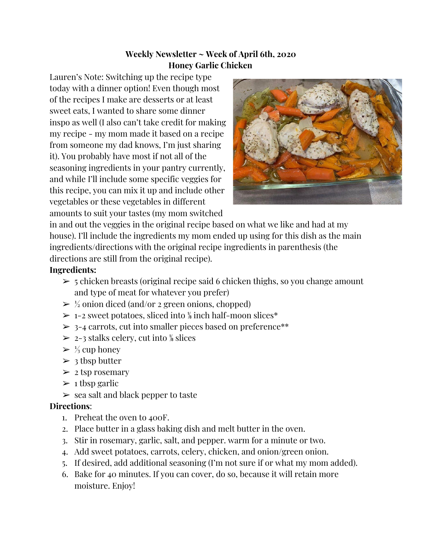# **Weekly Newsletter ~ Week of April 6th, 2020 Honey Garlic Chicken**

Lauren's Note: Switching up the recipe type today with a dinner option! Even though most of the recipes I make are desserts or at least sweet eats, I wanted to share some dinner inspo as well (I also can't take credit for making my recipe - my mom made it based on a recipe from someone my dad knows, I'm just sharing it). You probably have most if not all of the seasoning ingredients in your pantry currently, and while I'll include some specific veggies for this recipe, you can mix it up and include other vegetables or these vegetables in different amounts to suit your tastes (my mom switched



in and out the veggies in the original recipe based on what we like and had at my house). I'll include the ingredients my mom ended up using for this dish as the main ingredients/directions with the original recipe ingredients in parenthesis (the directions are still from the original recipe).

# **Ingredients:**

- $\geq$  5 chicken breasts (original recipe said 6 chicken thighs, so you change amount and type of meat for whatever you prefer)
- $\geq \frac{1}{2}$  onion diced (and/or 2 green onions, chopped)
- $\geq 1-2$  sweet potatoes, sliced into <sup>1/8</sup> inch half-moon slices<sup>\*</sup>
- $\geq 3-4$  carrots, cut into smaller pieces based on preference\*\*
- $\geq 2-3$  stalks celery, cut into <sup>1/8</sup> slices
- $\geq \frac{1}{3}$  cup honey
- $\geq 3$  tbsp butter
- $\geq 2$  tsp rosemary
- $\geq 1$  tbsp garlic
- $\ge$  sea salt and black pepper to taste

# **Directions**:

- 1. Preheat the oven to 400F.
- 2. Place butter in a glass baking dish and melt butter in the oven.
- 3. Stir in rosemary, garlic, salt, and pepper. warm for a minute or two.
- 4. Add sweet potatoes, carrots, celery, chicken, and onion/green onion.
- 5. If desired, add additional seasoning (I'm not sure if or what my mom added).
- 6. Bake for 40 minutes. If you can cover, do so, because it will retain more moisture. Enjoy!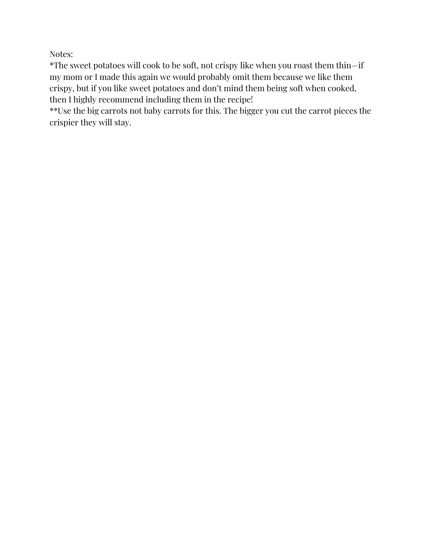Notes:

\*The sweet potatoes will cook to be soft, not crispy like when you roast them thin—if my mom or I made this again we would probably omit them because we like them crispy, but if you like sweet potatoes and don't mind them being soft when cooked, then I highly recommend including them in the recipe!

\*\*Use the big carrots not baby carrots for this. The bigger you cut the carrot pieces the crispier they will stay.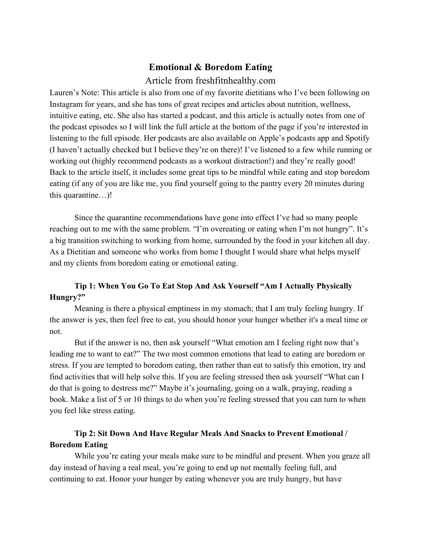### **Emotional & Boredom Eating**

### Article from freshfitnhealthy.com

Lauren's Note: This article is also from one of my favorite dietitians who I've been following on Instagram for years, and she has tons of great recipes and articles about nutrition, wellness, intuitive eating, etc. She also has started a podcast, and this article is actually notes from one of the podcast episodes so I will link the full article at the bottom of the page if you're interested in listening to the full episode. Her podcasts are also available on Apple's podcasts app and Spotify (I haven't actually checked but I believe they're on there)! I've listened to a few while running or working out (highly recommend podcasts as a workout distraction!) and they're really good! Back to the article itself, it includes some great tips to be mindful while eating and stop boredom eating (if any of you are like me, you find yourself going to the pantry every 20 minutes during this quarantine…)!

Since the quarantine recommendations have gone into effect I've had so many people reaching out to me with the same problem. "I'm overeating or eating when I'm not hungry". It's a big transition switching to working from home, surrounded by the food in your kitchen all day. As a Dietitian and someone who works from home I thought I would share what helps myself and my clients from boredom eating or emotional eating.

## **Tip 1: When You Go To Eat Stop And Ask Yourself "Am I Actually Physically Hungry?"**

Meaning is there a physical emptiness in my stomach; that I am truly feeling hungry. If the answer is yes, then feel free to eat, you should honor your hunger whether it's a meal time or not.

But if the answer is no, then ask yourself "What emotion am I feeling right now that's leading me to want to eat?" The two most common emotions that lead to eating are boredom or stress. If you are tempted to boredom eating, then rather than eat to satisfy this emotion, try and find activities that will help solve this. If you are feeling stressed then ask yourself "What can I do that is going to destress me?" Maybe it's journaling, going on a walk, praying, reading a book. Make a list of 5 or 10 things to do when you're feeling stressed that you can turn to when you feel like stress eating.

## **Tip 2: Sit Down And Have Regular Meals And Snacks to Prevent Emotional / Boredom Eating**

While you're eating your meals make sure to be mindful and present. When you graze all day instead of having a real meal, you're going to end up not mentally feeling full, and continuing to eat. Honor your hunger by eating whenever you are truly hungry, but have